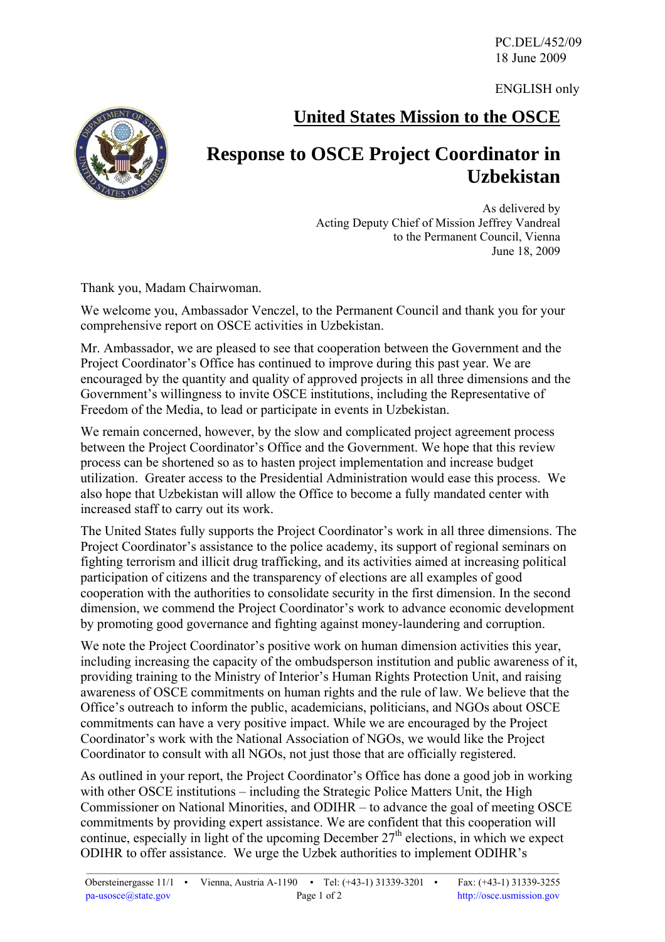PC.DEL/452/09 18 June 2009

ENGLISH only



**United States Mission to the OSCE**

## **Response to OSCE Project Coordinator in Uzbekistan**

As delivered by Acting Deputy Chief of Mission Jeffrey Vandreal to the Permanent Council, Vienna June 18, 2009

Thank you, Madam Chairwoman.

We welcome you, Ambassador Venczel, to the Permanent Council and thank you for your comprehensive report on OSCE activities in Uzbekistan.

Mr. Ambassador, we are pleased to see that cooperation between the Government and the Project Coordinator's Office has continued to improve during this past year. We are encouraged by the quantity and quality of approved projects in all three dimensions and the Government's willingness to invite OSCE institutions, including the Representative of Freedom of the Media, to lead or participate in events in Uzbekistan.

We remain concerned, however, by the slow and complicated project agreement process between the Project Coordinator's Office and the Government. We hope that this review process can be shortened so as to hasten project implementation and increase budget utilization. Greater access to the Presidential Administration would ease this process. We also hope that Uzbekistan will allow the Office to become a fully mandated center with increased staff to carry out its work.

The United States fully supports the Project Coordinator's work in all three dimensions. The Project Coordinator's assistance to the police academy, its support of regional seminars on fighting terrorism and illicit drug trafficking, and its activities aimed at increasing political participation of citizens and the transparency of elections are all examples of good cooperation with the authorities to consolidate security in the first dimension. In the second dimension, we commend the Project Coordinator's work to advance economic development by promoting good governance and fighting against money-laundering and corruption.

We note the Project Coordinator's positive work on human dimension activities this year, including increasing the capacity of the ombudsperson institution and public awareness of it, providing training to the Ministry of Interior's Human Rights Protection Unit, and raising awareness of OSCE commitments on human rights and the rule of law. We believe that the Office's outreach to inform the public, academicians, politicians, and NGOs about OSCE commitments can have a very positive impact. While we are encouraged by the Project Coordinator's work with the National Association of NGOs, we would like the Project Coordinator to consult with all NGOs, not just those that are officially registered.

As outlined in your report, the Project Coordinator's Office has done a good job in working with other OSCE institutions – including the Strategic Police Matters Unit, the High Commissioner on National Minorities, and ODIHR – to advance the goal of meeting OSCE commitments by providing expert assistance. We are confident that this cooperation will continue, especially in light of the upcoming December  $27<sup>th</sup>$  elections, in which we expect ODIHR to offer assistance. We urge the Uzbek authorities to implement ODIHR's